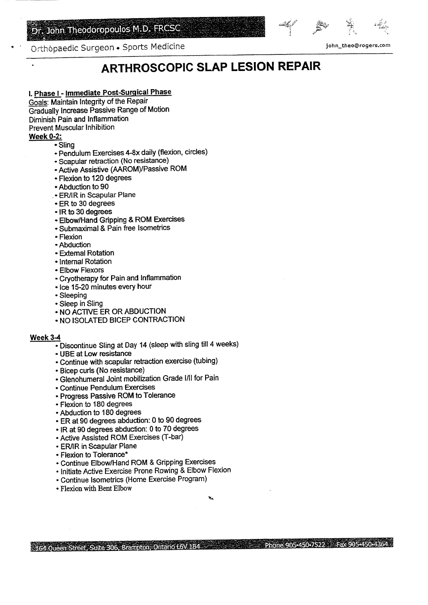## Dr. John Theodoropoulos M.D. FRCSC



*m^9&5s45bJ5sbJ&3sem525028R3* 

Orthôpaedic Surgeon • Sports Medicine in the state of the state of the state of the state of the state of the state of the state of the state of the state of the state of the state of the state of the state of the state of

# **ARTHROSCOPIC SLAP LESION REPAIR**

#### **I. Phase I - Immediate Post-Surgical Phase** mase i - immediate Post-Sulyical I.

bais: Maintain integrity of the Repair.<br>The Increase Passive Papeo of Motion adually Inclease Passive Kange Diminish Pain and Inflammation Prevent Muscular Inhibition<br>Week 0-2:

- Sling
	- Pendulum Exercises 4-8x daily (flexion, circles) Pendulum Exercises 4-8x daily (flexic<br>Conquier retraction (No resistance)
	- Scapular retraction (No resistance)
	- Active Assistive (AAROM)/Passive ROM
	- Flexion to 120 degrees<br>• Abduction to 90
	-
	- Abduction to 90<br>ER/IR in Scapular Plane • ER to 30 degrees
	-
	- ER to 30 degrees<br>• IR to 30 degrees
	- R to 30 degrees<br>Fibow/Hand Gripping & ROM Exercises
	- Submaximal & Pain free Isometrics • Submaximal & Pain free Isometrics
	-
	- Flexion<br>• Abduction Abduction<br>Fidemal Rotation
	- External Rotation<br>Literal Retation
	- Internal Rotation<br>• Elbow Flexors
	-
	- Cryotherapy for Pain and Inflammation • Ice 15-20 minutes every hour
	- Ice 15-20 minutes every hour<br>• Sleeping
	-
	- Sleep in Sling
	- Sleep in Sling<br>NO ACTIVE ER OR ABDUCTION
	- NO AUTIVE EN UN ADDUUTION.<br>NO ISOLATED BICER CONTRACTION.

#### **Week 3-4**

- $\overline{\text{Dissentius}}$  Sling at Day 14 (sleep with sling till 4 weeks)
- Discontinue Sing at Day<br>UDE et Low resistance
- ' Continue with scapular retraction exercise (tubing)
- Bicep curls (No resistance)
- Bicep curis (NO resistance)<br>Clenebumeral, Joint mobilization Grade I/II for Pain
- Continue Pendulum Exercises
- Progress Passive ROM to Tolerance Togress Passive ROM<br>Toujou to 180 degrees
- 
- Flexion to 180 degrees<br>• Abduction to 180 degrees
- ER at 90 degrees abduction: 0 to 90 degrees
- IR at 90 degrees abduction: 0 to 70 degrees
- R at 90 degrees abuuction. U to 70 degr<br>Letter Assisted ROM Exercises (T-bar) • Active Assisted ROM Exercises (T-bar)<br>• ER/IR in Scapular Plane
- 
- Flexion to Tolerance\*
- Continue Elbow/Hand ROM & Gripping Exercises
- Initiate Active Exercise Prone Rowing & Elbow Flexion
- Continue Isometrics (Home Exercise Program)
- Flexion with Bent Elbow

1164 Oneen Street, Suite 306, Brampton, Ontario L6V 1B4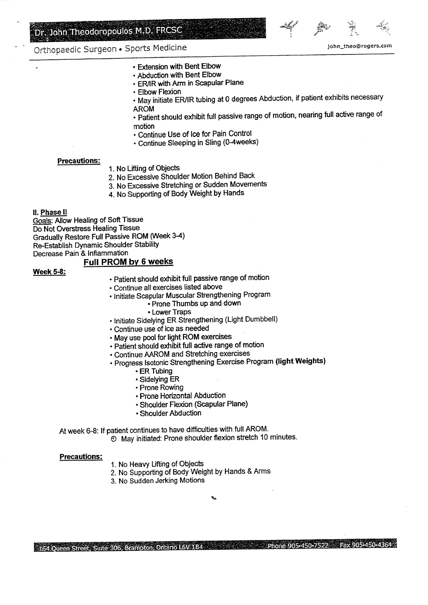



- Orthopaedic Surgeon Sports Medicine in the state of the state of the sports of the sports of the state of the state of the state of the state of the state of the state of the state of the state of the state of the state
	- \* Extension with Bent Elbow
	- \* Abduction with Bent Elbow
	- \* ER/IR with Arm in Scapular Plane
	- \* Elbow Flexion
	- \* May initiate ER/IR tubing at 0 degrees Abduction, if patient exhibits necessary יייים אחו<br>ח∩י
	- \* Patient should exhibit Hill passive range of motion, nearing full active range of auciit.<br>Nion
	- motion<br>• Continue Use of Ice for Pain Control
	- Continue Sleeping in Sling (0-4weeks)

#### **Precautions:**

- 1. No Lifting of Objects
- 2. No Excessive Shoulder Motion Behind Back
- 3. No Excessive Stretching or Sudden Movements
- 4. No Supporting of Body Weight by Hands

#### 11. Phase 11

 $\frac{\text{Phase II}}{\text{Area}}$ <u>oals</u>: Allow Healing of Soil Tissue Gradual Christiess Healing Tissue<br>Cradual Pasters Full Passive ROM (Week 3-4) raqually Restore Full Passive ROM (We Re-Establish Dynamic Shoulder Stability<br>Decrease Pain & Inflammation

#### **Full PROM by 6 weeks**

#### **Week 5-8:**

- Patient should exhibit full passive range of motion
- Continue all exercises listed above
- Initiate Scapular Muscular Strengthening Program
	- Prone Thumbs up and down
		- \* Lower Traps
- Initiate Sidelying ER Strengthening (Light Dumbbell)
- Continue use of ice as needed
- May use pool for light ROM exercises
- Patient should exhibit full active range of motion
- Continue AAROM and Stretching exercises
- Continue AAROM and Stretching exercises<br>Dreamed Isotonic Strengthening Exercise Program (light Weights)
	- 5 ISUWHIC OL<br>FD Tubing
	- ER Tubing<br>• Sidelying ER
	- Prone Rowing
	- Prone Horizontal Abduction
	- Shoulder Flexion (Scapular Plane)
	- Shoulder Abduction

At week 6-8: If patient continues to have difficulties with full AROM.

© May initiated: Prone shoulder flexion stretch 10 minutes.

#### **Precautions:**

- 1. No Heavy Lifting of Objects
- 2. No Supporting of Body Weight by Hands & Arms
- 3. No Sudden Jerking Motions

City of Phone 905-450-4364 Fax 905-450-4364